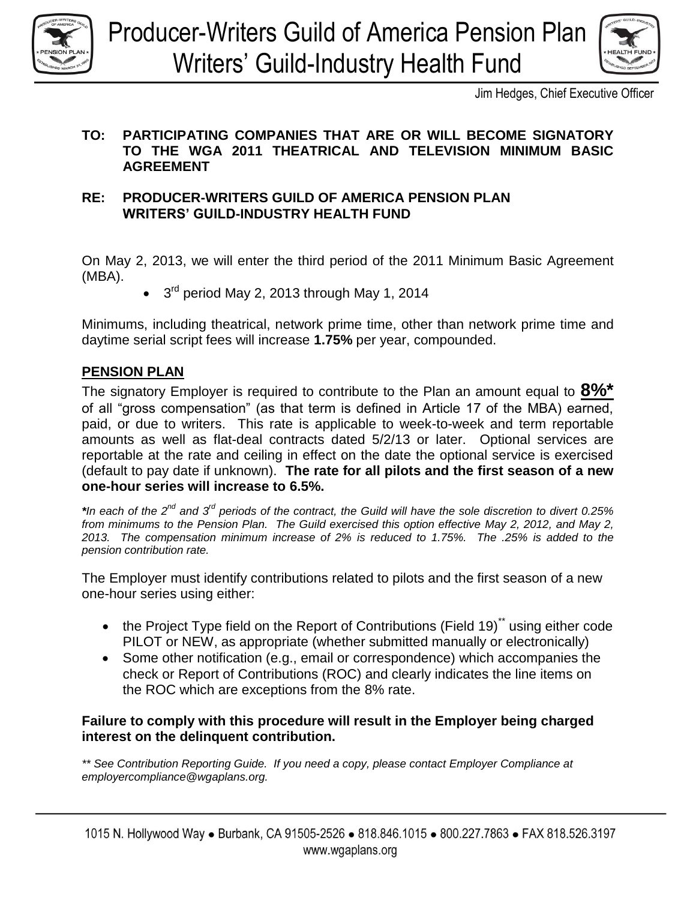



Jim Hedges, Chief Executive Officer

### **TO: PARTICIPATING COMPANIES THAT ARE OR WILL BECOME SIGNATORY TO THE WGA 2011 THEATRICAL AND TELEVISION MINIMUM BASIC AGREEMENT**

#### **RE: PRODUCER-WRITERS GUILD OF AMERICA PENSION PLAN WRITERS' GUILD-INDUSTRY HEALTH FUND**

On May 2, 2013, we will enter the third period of the 2011 Minimum Basic Agreement (MBA).

3<sup>rd</sup> period May 2, 2013 through May 1, 2014

Minimums, including theatrical, network prime time, other than network prime time and daytime serial script fees will increase **1.75%** per year, compounded.

# **PENSION PLAN**

The signatory Employer is required to contribute to the Plan an amount equal to **8%\*** of all "gross compensation" (as that term is defined in Article 17 of the MBA) earned, paid, or due to writers. This rate is applicable to week-to-week and term reportable amounts as well as flat-deal contracts dated 5/2/13 or later. Optional services are reportable at the rate and ceiling in effect on the date the optional service is exercised (default to pay date if unknown). **The rate for all pilots and the first season of a new one-hour series will increase to 6.5%.**

*\*In each of the 2nd and 3rd periods of the contract, the Guild will have the sole discretion to divert 0.25% from minimums to the Pension Plan. The Guild exercised this option effective May 2, 2012, and May 2, 2013. The compensation minimum increase of 2% is reduced to 1.75%. The .25% is added to the pension contribution rate.* 

The Employer must identify contributions related to pilots and the first season of a new one-hour series using either:

- the Project Type field on the Report of Contributions (Field 19)<sup>\*\*</sup> using either code PILOT or NEW, as appropriate (whether submitted manually or electronically)
- Some other notification (e.g., email or correspondence) which accompanies the check or Report of Contributions (ROC) and clearly indicates the line items on the ROC which are exceptions from the 8% rate.

# **Failure to comply with this procedure will result in the Employer being charged interest on the delinquent contribution.**

*\*\* See Contribution Reporting Guide. If you need a copy, please contact Employer Compliance at employercompliance@wgaplans.org.*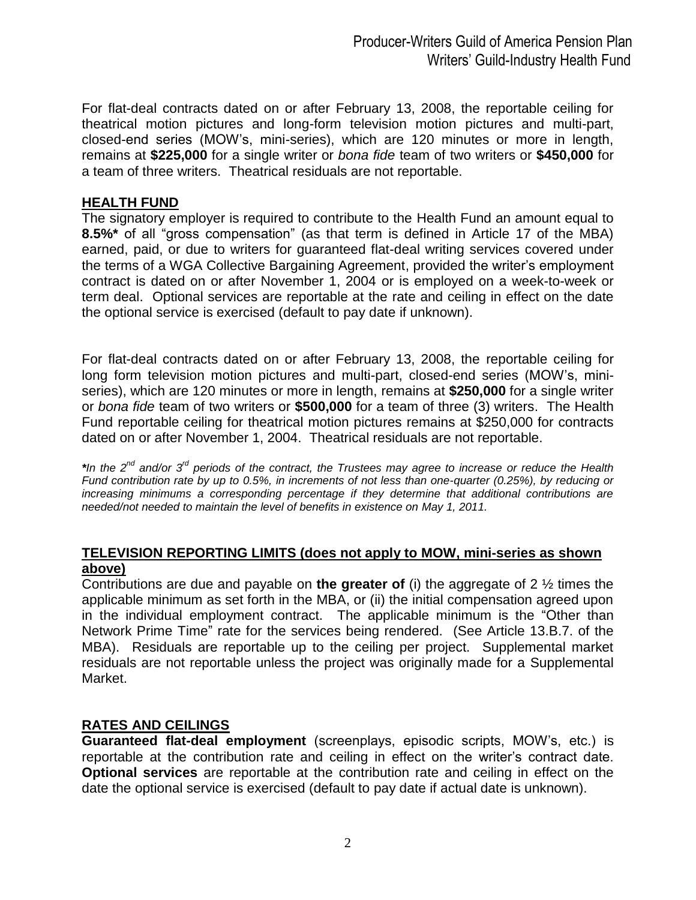For flat-deal contracts dated on or after February 13, 2008, the reportable ceiling for theatrical motion pictures and long-form television motion pictures and multi-part, closed-end series (MOW's, mini-series), which are 120 minutes or more in length, remains at **\$225,000** for a single writer or *bona fide* team of two writers or **\$450,000** for a team of three writers. Theatrical residuals are not reportable.

#### **HEALTH FUND**

The signatory employer is required to contribute to the Health Fund an amount equal to **8.5%\*** of all "gross compensation" (as that term is defined in Article 17 of the MBA) earned, paid, or due to writers for guaranteed flat-deal writing services covered under the terms of a WGA Collective Bargaining Agreement, provided the writer's employment contract is dated on or after November 1, 2004 or is employed on a week-to-week or term deal. Optional services are reportable at the rate and ceiling in effect on the date the optional service is exercised (default to pay date if unknown).

For flat-deal contracts dated on or after February 13, 2008, the reportable ceiling for long form television motion pictures and multi-part, closed-end series (MOW's, miniseries), which are 120 minutes or more in length, remains at **\$250,000** for a single writer or *bona fide* team of two writers or **\$500,000** for a team of three (3) writers. The Health Fund reportable ceiling for theatrical motion pictures remains at \$250,000 for contracts dated on or after November 1, 2004. Theatrical residuals are not reportable.

\**In the 2<sup>nd</sup> and/or 3<sup>rd</sup> periods of the contract, the Trustees may agree to increase or reduce the Health Fund contribution rate by up to 0.5%, in increments of not less than one-quarter (0.25%), by reducing or increasing minimums a corresponding percentage if they determine that additional contributions are needed/not needed to maintain the level of benefits in existence on May 1, 2011.* 

#### **TELEVISION REPORTING LIMITS (does not apply to MOW, mini-series as shown above)**

Contributions are due and payable on **the greater of** (i) the aggregate of 2 ½ times the applicable minimum as set forth in the MBA, or (ii) the initial compensation agreed upon in the individual employment contract. The applicable minimum is the "Other than Network Prime Time" rate for the services being rendered. (See Article 13.B.7. of the MBA). Residuals are reportable up to the ceiling per project. Supplemental market residuals are not reportable unless the project was originally made for a Supplemental Market.

#### **RATES AND CEILINGS**

**Guaranteed flat-deal employment** (screenplays, episodic scripts, MOW's, etc.) is reportable at the contribution rate and ceiling in effect on the writer's contract date. **Optional services** are reportable at the contribution rate and ceiling in effect on the date the optional service is exercised (default to pay date if actual date is unknown).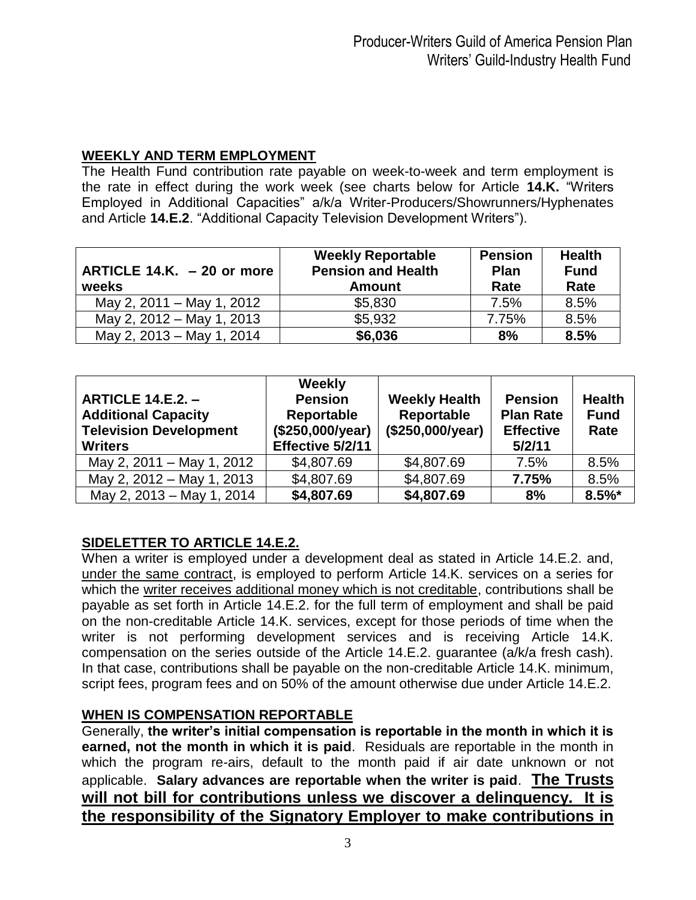# **WEEKLY AND TERM EMPLOYMENT**

The Health Fund contribution rate payable on week-to-week and term employment is the rate in effect during the work week (see charts below for Article **14.K.** "Writers Employed in Additional Capacities" a/k/a Writer-Producers/Showrunners/Hyphenates and Article **14.E.2**. "Additional Capacity Television Development Writers").

| ARTICLE 14.K. $-20$ or more<br>weeks | <b>Weekly Reportable</b><br><b>Pension and Health</b><br><b>Amount</b> | <b>Pension</b><br>Plan<br>Rate | <b>Health</b><br><b>Fund</b><br>Rate |
|--------------------------------------|------------------------------------------------------------------------|--------------------------------|--------------------------------------|
| May 2, 2011 – May 1, 2012            | \$5,830                                                                | 7.5%                           | 8.5%                                 |
| May 2, 2012 - May 1, 2013            | \$5,932                                                                | 7.75%                          | 8.5%                                 |
| May 2, 2013 - May 1, 2014            | \$6,036                                                                | 8%                             | 8.5%                                 |

| <b>ARTICLE 14.E.2. -</b><br><b>Additional Capacity</b><br><b>Television Development</b><br><b>Writers</b> | Weekly<br><b>Pension</b><br>Reportable<br>(\$250,000/year)<br>Effective 5/2/11 | <b>Weekly Health</b><br>Reportable<br>(\$250,000/year) | <b>Pension</b><br><b>Plan Rate</b><br><b>Effective</b><br>5/2/11 | <b>Health</b><br><b>Fund</b><br>Rate |
|-----------------------------------------------------------------------------------------------------------|--------------------------------------------------------------------------------|--------------------------------------------------------|------------------------------------------------------------------|--------------------------------------|
| May 2, 2011 – May 1, 2012                                                                                 | \$4,807.69                                                                     | \$4,807.69                                             | 7.5%                                                             | 8.5%                                 |
| May 2, 2012 - May 1, 2013                                                                                 | \$4,807.69                                                                     | \$4,807.69                                             | 7.75%                                                            | 8.5%                                 |
| May 2, 2013 - May 1, 2014                                                                                 | \$4,807.69                                                                     | \$4,807.69                                             | 8%                                                               | $8.5\%$ *                            |

# **SIDELETTER TO ARTICLE 14.E.2.**

When a writer is employed under a development deal as stated in Article 14.E.2. and, under the same contract, is employed to perform Article 14.K. services on a series for which the writer receives additional money which is not creditable, contributions shall be payable as set forth in Article 14.E.2. for the full term of employment and shall be paid on the non-creditable Article 14.K. services, except for those periods of time when the writer is not performing development services and is receiving Article 14.K. compensation on the series outside of the Article 14.E.2. guarantee (a/k/a fresh cash). In that case, contributions shall be payable on the non-creditable Article 14.K. minimum, script fees, program fees and on 50% of the amount otherwise due under Article 14.E.2.

# **WHEN IS COMPENSATION REPORTABLE**

Generally, **the writer's initial compensation is reportable in the month in which it is earned, not the month in which it is paid**. Residuals are reportable in the month in which the program re-airs, default to the month paid if air date unknown or not applicable. **Salary advances are reportable when the writer is paid**. **The Trusts will not bill for contributions unless we discover a delinquency. It is the responsibility of the Signatory Employer to make contributions in**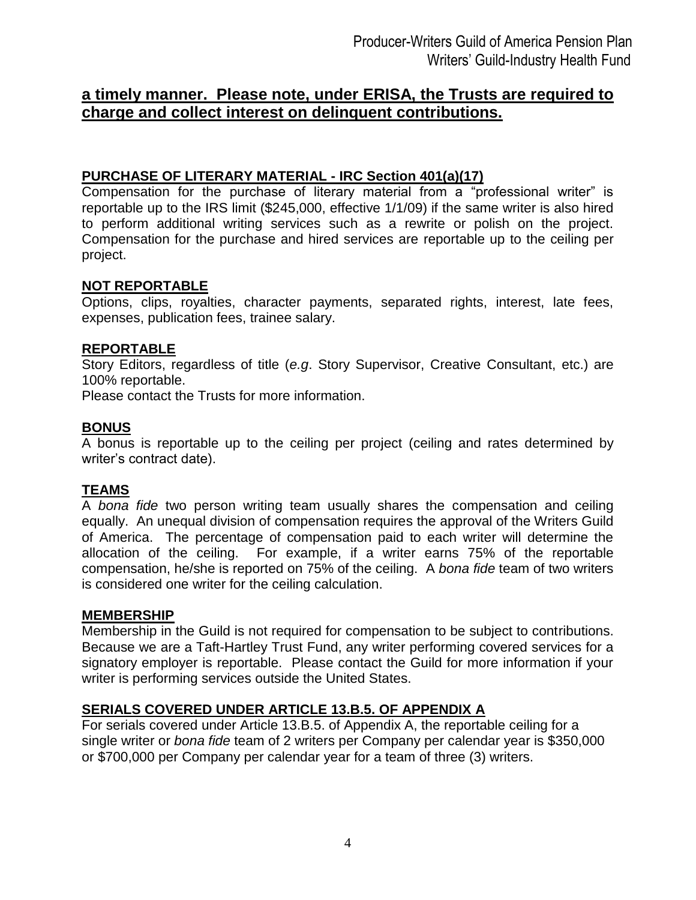# **a timely manner. Please note, under ERISA, the Trusts are required to charge and collect interest on delinquent contributions.**

### **PURCHASE OF LITERARY MATERIAL - IRC Section 401(a)(17)**

Compensation for the purchase of literary material from a "professional writer" is reportable up to the IRS limit (\$245,000, effective 1/1/09) if the same writer is also hired to perform additional writing services such as a rewrite or polish on the project. Compensation for the purchase and hired services are reportable up to the ceiling per project.

#### **NOT REPORTABLE**

Options, clips, royalties, character payments, separated rights, interest, late fees, expenses, publication fees, trainee salary.

# **REPORTABLE**

Story Editors, regardless of title (*e.g*. Story Supervisor, Creative Consultant, etc.) are 100% reportable.

Please contact the Trusts for more information.

#### **BONUS**

A bonus is reportable up to the ceiling per project (ceiling and rates determined by writer's contract date).

# **TEAMS**

A *bona fide* two person writing team usually shares the compensation and ceiling equally. An unequal division of compensation requires the approval of the Writers Guild of America. The percentage of compensation paid to each writer will determine the allocation of the ceiling. For example, if a writer earns 75% of the reportable compensation, he/she is reported on 75% of the ceiling. A *bona fide* team of two writers is considered one writer for the ceiling calculation.

#### **MEMBERSHIP**

Membership in the Guild is not required for compensation to be subject to contributions. Because we are a Taft-Hartley Trust Fund, any writer performing covered services for a signatory employer is reportable. Please contact the Guild for more information if your writer is performing services outside the United States.

#### **SERIALS COVERED UNDER ARTICLE 13.B.5. OF APPENDIX A**

For serials covered under Article 13.B.5. of Appendix A, the reportable ceiling for a single writer or *bona fide* team of 2 writers per Company per calendar year is \$350,000 or \$700,000 per Company per calendar year for a team of three (3) writers.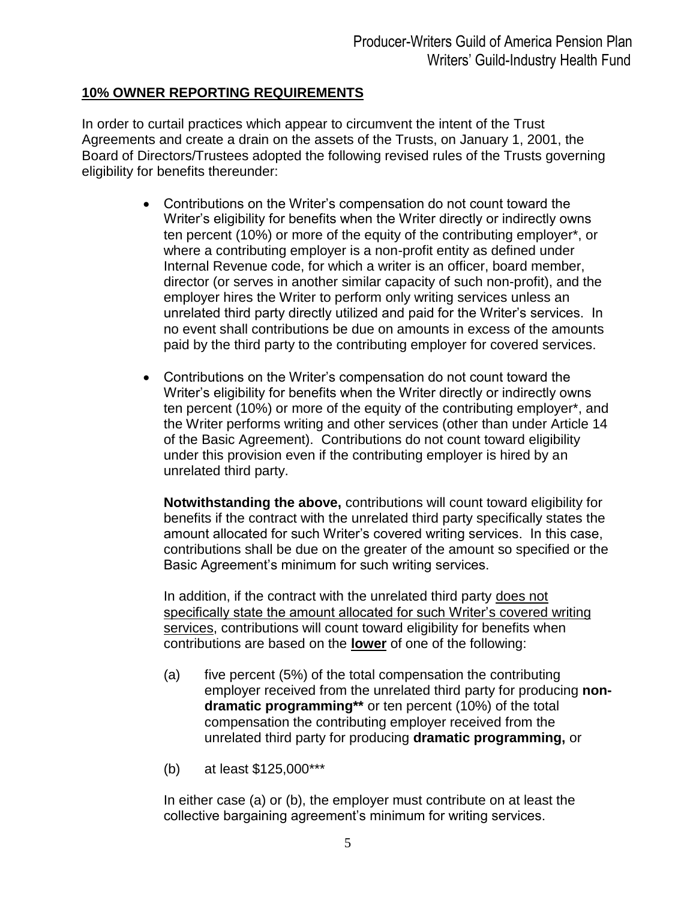# **10% OWNER REPORTING REQUIREMENTS**

In order to curtail practices which appear to circumvent the intent of the Trust Agreements and create a drain on the assets of the Trusts, on January 1, 2001, the Board of Directors/Trustees adopted the following revised rules of the Trusts governing eligibility for benefits thereunder:

- Contributions on the Writer's compensation do not count toward the Writer's eligibility for benefits when the Writer directly or indirectly owns ten percent (10%) or more of the equity of the contributing employer\*, or where a contributing employer is a non-profit entity as defined under Internal Revenue code, for which a writer is an officer, board member, director (or serves in another similar capacity of such non-profit), and the employer hires the Writer to perform only writing services unless an unrelated third party directly utilized and paid for the Writer's services. In no event shall contributions be due on amounts in excess of the amounts paid by the third party to the contributing employer for covered services.
- Contributions on the Writer's compensation do not count toward the Writer's eligibility for benefits when the Writer directly or indirectly owns ten percent (10%) or more of the equity of the contributing employer\*, and the Writer performs writing and other services (other than under Article 14 of the Basic Agreement). Contributions do not count toward eligibility under this provision even if the contributing employer is hired by an unrelated third party.

**Notwithstanding the above,** contributions will count toward eligibility for benefits if the contract with the unrelated third party specifically states the amount allocated for such Writer's covered writing services. In this case, contributions shall be due on the greater of the amount so specified or the Basic Agreement's minimum for such writing services.

In addition, if the contract with the unrelated third party does not specifically state the amount allocated for such Writer's covered writing services, contributions will count toward eligibility for benefits when contributions are based on the **lower** of one of the following:

- (a) five percent (5%) of the total compensation the contributing employer received from the unrelated third party for producing **nondramatic programming\*\*** or ten percent (10%) of the total compensation the contributing employer received from the unrelated third party for producing **dramatic programming,** or
- (b) at least \$125,000\*\*\*

In either case (a) or (b), the employer must contribute on at least the collective bargaining agreement's minimum for writing services.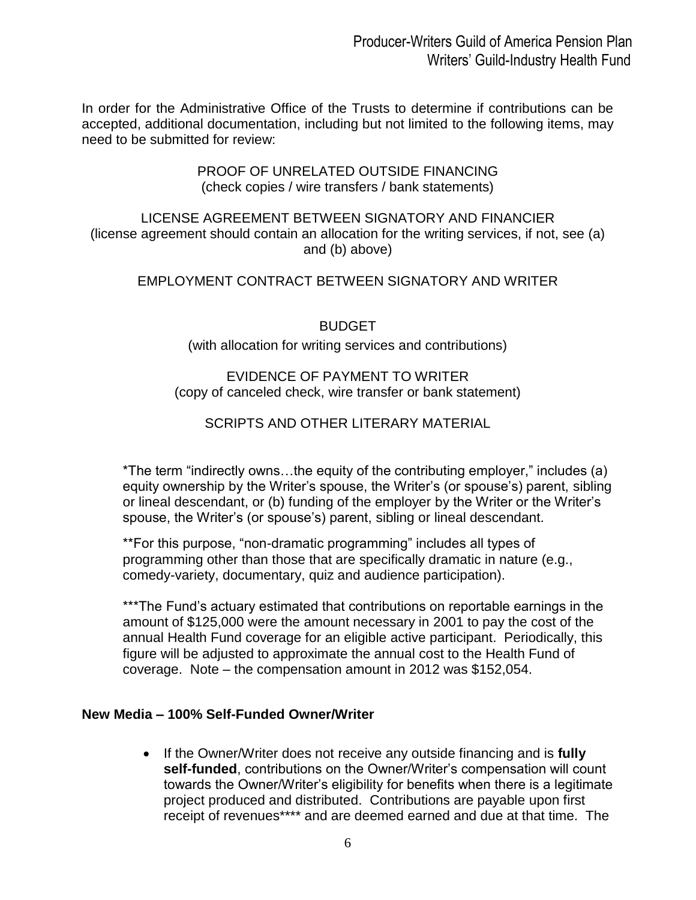In order for the Administrative Office of the Trusts to determine if contributions can be accepted, additional documentation, including but not limited to the following items, may need to be submitted for review:

#### PROOF OF UNRELATED OUTSIDE FINANCING (check copies / wire transfers / bank statements)

LICENSE AGREEMENT BETWEEN SIGNATORY AND FINANCIER (license agreement should contain an allocation for the writing services, if not, see (a) and (b) above)

# EMPLOYMENT CONTRACT BETWEEN SIGNATORY AND WRITER

BUDGET

#### (with allocation for writing services and contributions)

# EVIDENCE OF PAYMENT TO WRITER (copy of canceled check, wire transfer or bank statement)

# SCRIPTS AND OTHER LITERARY MATERIAL

\*The term "indirectly owns…the equity of the contributing employer," includes (a) equity ownership by the Writer's spouse, the Writer's (or spouse's) parent, sibling or lineal descendant, or (b) funding of the employer by the Writer or the Writer's spouse, the Writer's (or spouse's) parent, sibling or lineal descendant.

\*\*For this purpose, "non-dramatic programming" includes all types of programming other than those that are specifically dramatic in nature (e.g., comedy-variety, documentary, quiz and audience participation).

\*\*\*The Fund's actuary estimated that contributions on reportable earnings in the amount of \$125,000 were the amount necessary in 2001 to pay the cost of the annual Health Fund coverage for an eligible active participant. Periodically, this figure will be adjusted to approximate the annual cost to the Health Fund of coverage. Note – the compensation amount in 2012 was \$152,054.

#### **New Media – 100% Self-Funded Owner/Writer**

 If the Owner/Writer does not receive any outside financing and is **fully self-funded**, contributions on the Owner/Writer's compensation will count towards the Owner/Writer's eligibility for benefits when there is a legitimate project produced and distributed. Contributions are payable upon first receipt of revenues\*\*\*\* and are deemed earned and due at that time. The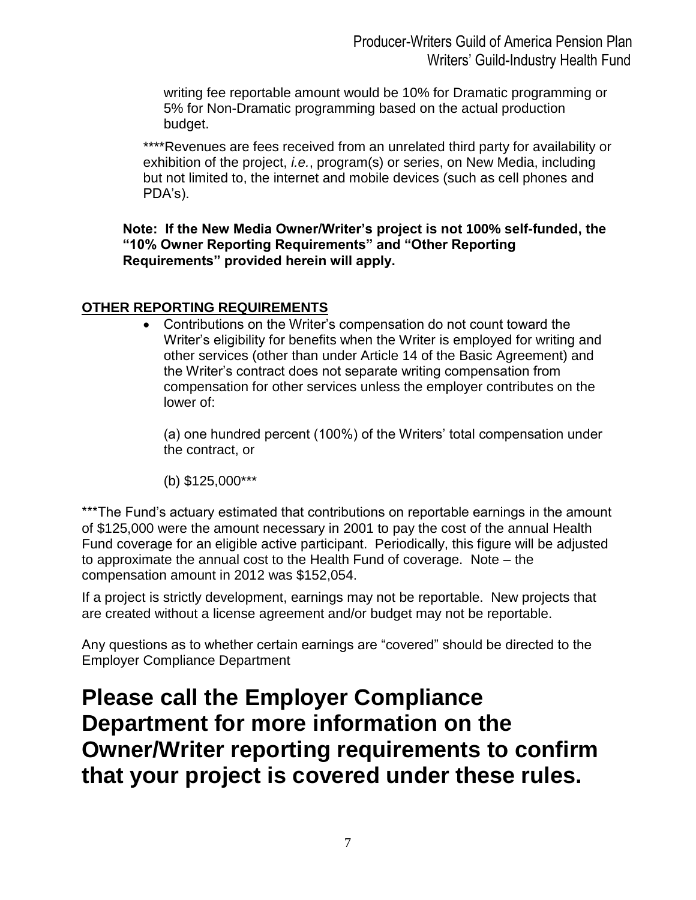writing fee reportable amount would be 10% for Dramatic programming or 5% for Non-Dramatic programming based on the actual production budget.

\*\*\*\*Revenues are fees received from an unrelated third party for availability or exhibition of the project, *i.e.*, program(s) or series, on New Media, including but not limited to, the internet and mobile devices (such as cell phones and PDA's).

**Note: If the New Media Owner/Writer's project is not 100% self-funded, the "10% Owner Reporting Requirements" and "Other Reporting Requirements" provided herein will apply.** 

# **OTHER REPORTING REQUIREMENTS**

 Contributions on the Writer's compensation do not count toward the Writer's eligibility for benefits when the Writer is employed for writing and other services (other than under Article 14 of the Basic Agreement) and the Writer's contract does not separate writing compensation from compensation for other services unless the employer contributes on the lower of:

(a) one hundred percent (100%) of the Writers' total compensation under the contract, or

(b) \$125,000\*\*\*

\*\*\*The Fund's actuary estimated that contributions on reportable earnings in the amount of \$125,000 were the amount necessary in 2001 to pay the cost of the annual Health Fund coverage for an eligible active participant. Periodically, this figure will be adjusted to approximate the annual cost to the Health Fund of coverage. Note – the compensation amount in 2012 was \$152,054.

If a project is strictly development, earnings may not be reportable. New projects that are created without a license agreement and/or budget may not be reportable.

Any questions as to whether certain earnings are "covered" should be directed to the Employer Compliance Department

**Please call the Employer Compliance Department for more information on the Owner/Writer reporting requirements to confirm that your project is covered under these rules.**